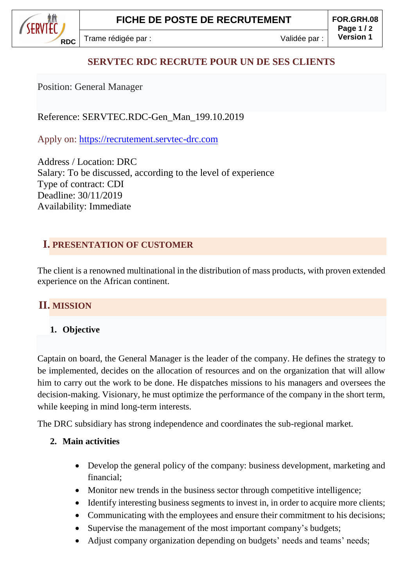SERVIED **RDC**

## **SERVTEC RDC RECRUTE POUR UN DE SES CLIENTS**

Position: General Manager

Reference: SERVTEC.RDC-Gen\_Man\_199.10.2019

Apply on: [https://recrutement.servtec-drc.com](https://recrutement.servtec-drc.com/)

Address / Location: DRC Salary: To be discussed, according to the level of experience Type of contract: CDI Deadline: 30/11/2019 Availability: Immediate

## **I. PRESENTATION OF CUSTOMER**

The client is a renowned multinational in the distribution of mass products, with proven extended experience on the African continent.

# **II. MISSION**

#### **1. Objective**

Captain on board, the General Manager is the leader of the company. He defines the strategy to be implemented, decides on the allocation of resources and on the organization that will allow him to carry out the work to be done. He dispatches missions to his managers and oversees the decision-making. Visionary, he must optimize the performance of the company in the short term, while keeping in mind long-term interests.

The DRC subsidiary has strong independence and coordinates the sub-regional market.

#### **2. Main activities**

- Develop the general policy of the company: business development, marketing and financial;
- Monitor new trends in the business sector through competitive intelligence;
- Identify interesting business segments to invest in, in order to acquire more clients;
- Communicating with the employees and ensure their commitment to his decisions;
- Supervise the management of the most important company's budgets;
- Adjust company organization depending on budgets' needs and teams' needs;